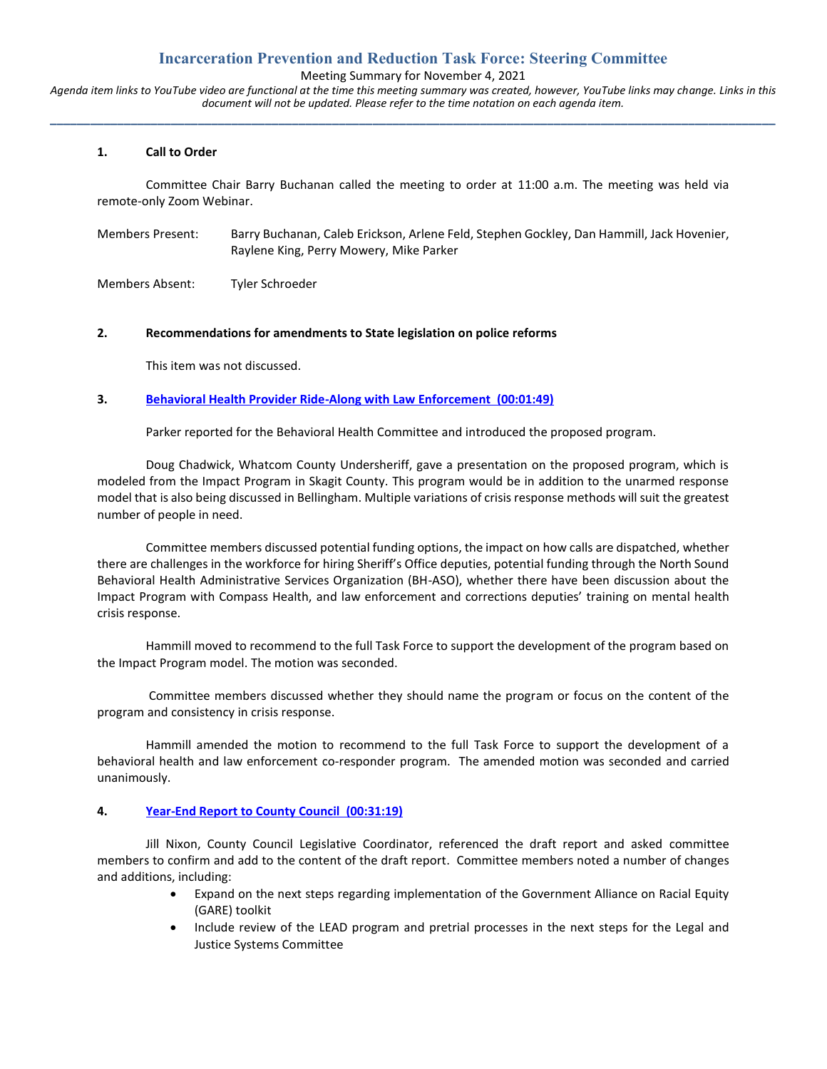# **Incarceration Prevention and Reduction Task Force: Steering Committee**

Meeting Summary for November 4, 2021

*Agenda item links to YouTube video are functional at the time this meeting summary was created, however, YouTube links may change. Links in this document will not be updated. Please refer to the time notation on each agenda item.* **\_\_\_\_\_\_\_\_\_\_\_\_\_\_\_\_\_\_\_\_\_\_\_\_\_\_\_\_\_\_\_\_\_\_\_\_\_\_\_\_\_\_\_\_\_\_\_\_\_\_\_\_\_\_\_\_\_\_\_\_\_\_\_\_\_\_\_\_\_\_\_\_\_\_\_\_\_\_\_\_\_\_\_\_\_\_\_\_\_\_\_\_\_\_\_\_\_\_\_\_\_\_\_\_\_\_\_\_**

#### **1. Call to Order**

Committee Chair Barry Buchanan called the meeting to order at 11:00 a.m. The meeting was held via remote-only Zoom Webinar.

Members Present: Barry Buchanan, Caleb Erickson, Arlene Feld, Stephen Gockley, Dan Hammill, Jack Hovenier, Raylene King, Perry Mowery, Mike Parker

Members Absent: Tyler Schroeder

#### **2. Recommendations for amendments to State legislation on police reforms**

This item was not discussed.

### **3. [Behavioral Health Provider Ride-Along with Law Enforcement \(00:01:49\)](https://www.youtube.com/watch?v=lCtZJjK4s6U&t=109s)**

Parker reported for the Behavioral Health Committee and introduced the proposed program.

Doug Chadwick, Whatcom County Undersheriff, gave a presentation on the proposed program, which is modeled from the Impact Program in Skagit County. This program would be in addition to the unarmed response model that is also being discussed in Bellingham. Multiple variations of crisis response methods will suit the greatest number of people in need.

Committee members discussed potential funding options, the impact on how calls are dispatched, whether there are challenges in the workforce for hiring Sheriff's Office deputies, potential funding through the North Sound Behavioral Health Administrative Services Organization (BH-ASO), whether there have been discussion about the Impact Program with Compass Health, and law enforcement and corrections deputies' training on mental health crisis response.

Hammill moved to recommend to the full Task Force to support the development of the program based on the Impact Program model. The motion was seconded.

Committee members discussed whether they should name the program or focus on the content of the program and consistency in crisis response.

Hammill amended the motion to recommend to the full Task Force to support the development of a behavioral health and law enforcement co-responder program. The amended motion was seconded and carried unanimously.

#### **4. [Year-End Report to County Council \(00:31:19\)](https://www.youtube.com/watch?v=lCtZJjK4s6U&t=1879s)**

Jill Nixon, County Council Legislative Coordinator, referenced the draft report and asked committee members to confirm and add to the content of the draft report. Committee members noted a number of changes and additions, including:

- Expand on the next steps regarding implementation of the Government Alliance on Racial Equity (GARE) toolkit
- Include review of the LEAD program and pretrial processes in the next steps for the Legal and Justice Systems Committee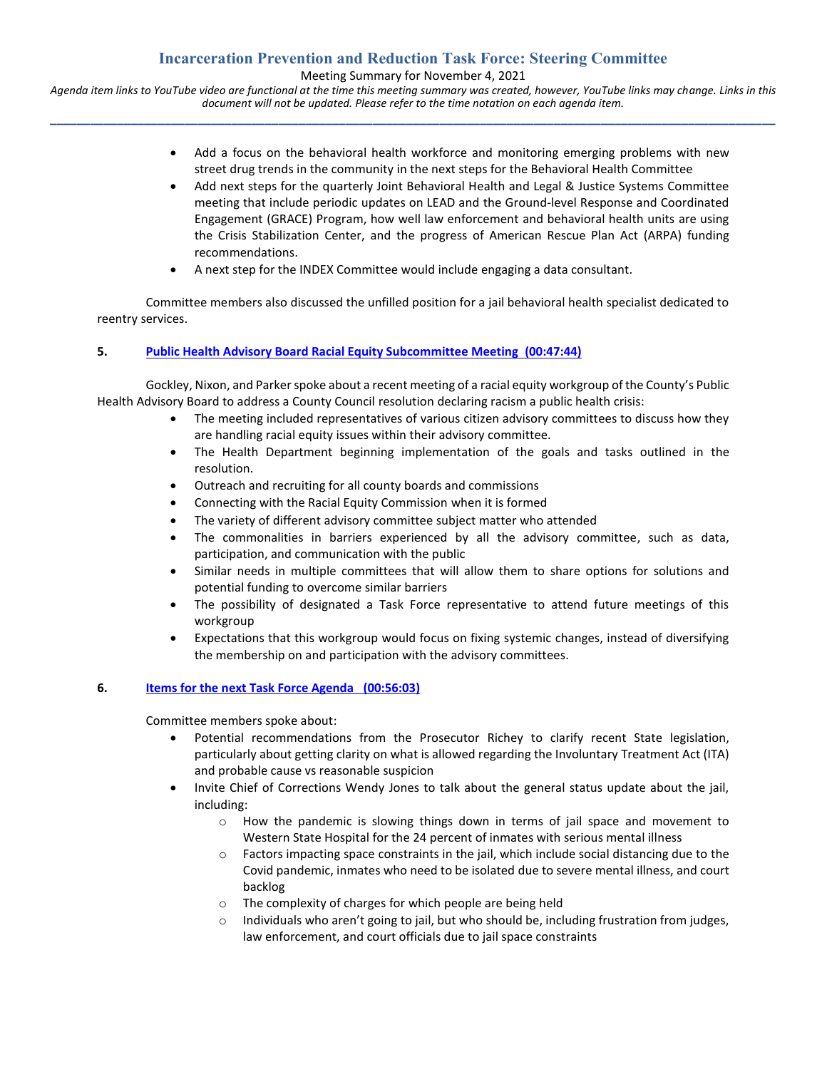# **Incarceration Prevention and Reduction Task Force: Steering Committee**

Meeting Summary for November 4, 2021

*Agenda item links to YouTube video are functional at the time this meeting summary was created, however, YouTube links may change. Links in this document will not be updated. Please refer to the time notation on each agenda item.* **\_\_\_\_\_\_\_\_\_\_\_\_\_\_\_\_\_\_\_\_\_\_\_\_\_\_\_\_\_\_\_\_\_\_\_\_\_\_\_\_\_\_\_\_\_\_\_\_\_\_\_\_\_\_\_\_\_\_\_\_\_\_\_\_\_\_\_\_\_\_\_\_\_\_\_\_\_\_\_\_\_\_\_\_\_\_\_\_\_\_\_\_\_\_\_\_\_\_\_\_\_\_\_\_\_\_\_\_**

- Add a focus on the behavioral health workforce and monitoring emerging problems with new street drug trends in the community in the next steps for the Behavioral Health Committee
- Add next steps for the quarterly Joint Behavioral Health and Legal & Justice Systems Committee meeting that include periodic updates on LEAD and the Ground-level Response and Coordinated Engagement (GRACE) Program, how well law enforcement and behavioral health units are using the Crisis Stabilization Center, and the progress of American Rescue Plan Act (ARPA) funding recommendations.
- A next step for the INDEX Committee would include engaging a data consultant.

Committee members also discussed the unfilled position for a jail behavioral health specialist dedicated to reentry services.

## **5. [Public Health Advisory Board Racial Equity Subcommittee Meeting \(00:47:44\)](https://www.youtube.com/watch?v=lCtZJjK4s6U&t=2864s)**

Gockley, Nixon, and Parker spoke about a recent meeting of a racial equity workgroup of the County's Public Health Advisory Board to address a County Council resolution declaring racism a public health crisis:

- The meeting included representatives of various citizen advisory committees to discuss how they are handling racial equity issues within their advisory committee.
- The Health Department beginning implementation of the goals and tasks outlined in the resolution.
- Outreach and recruiting for all county boards and commissions
- Connecting with the Racial Equity Commission when it is formed
- The variety of different advisory committee subject matter who attended
- The commonalities in barriers experienced by all the advisory committee, such as data, participation, and communication with the public
- Similar needs in multiple committees that will allow them to share options for solutions and potential funding to overcome similar barriers
- The possibility of designated a Task Force representative to attend future meetings of this workgroup
- Expectations that this workgroup would focus on fixing systemic changes, instead of diversifying the membership on and participation with the advisory committees.

## **6. [Items for the next Task Force Agenda \(00:56:03\)](https://www.youtube.com/watch?v=lCtZJjK4s6U&t=3363s)**

Committee members spoke about:

- Potential recommendations from the Prosecutor Richey to clarify recent State legislation, particularly about getting clarity on what is allowed regarding the Involuntary Treatment Act (ITA) and probable cause vs reasonable suspicion
- Invite Chief of Corrections Wendy Jones to talk about the general status update about the jail, including:
	- $\circ$  How the pandemic is slowing things down in terms of jail space and movement to Western State Hospital for the 24 percent of inmates with serious mental illness
	- $\circ$  Factors impacting space constraints in the jail, which include social distancing due to the Covid pandemic, inmates who need to be isolated due to severe mental illness, and court backlog
	- o The complexity of charges for which people are being held
	- Individuals who aren't going to jail, but who should be, including frustration from judges, law enforcement, and court officials due to jail space constraints